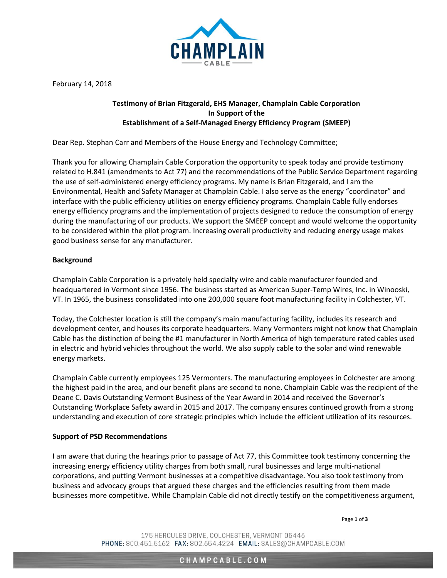

February 14, 2018

## **Testimony of Brian Fitzgerald, EHS Manager, Champlain Cable Corporation In Support of the Establishment of a Self-Managed Energy Efficiency Program (SMEEP)**

Dear Rep. Stephan Carr and Members of the House Energy and Technology Committee;

Thank you for allowing Champlain Cable Corporation the opportunity to speak today and provide testimony related to H.841 (amendments to Act 77) and the recommendations of the Public Service Department regarding the use of self-administered energy efficiency programs. My name is Brian Fitzgerald, and I am the Environmental, Health and Safety Manager at Champlain Cable. I also serve as the energy "coordinator" and interface with the public efficiency utilities on energy efficiency programs. Champlain Cable fully endorses energy efficiency programs and the implementation of projects designed to reduce the consumption of energy during the manufacturing of our products. We support the SMEEP concept and would welcome the opportunity to be considered within the pilot program. Increasing overall productivity and reducing energy usage makes good business sense for any manufacturer.

## **Background**

Champlain Cable Corporation is a privately held specialty wire and cable manufacturer founded and headquartered in Vermont since 1956. The business started as American Super-Temp Wires, Inc. in Winooski, VT. In 1965, the business consolidated into one 200,000 square foot manufacturing facility in Colchester, VT.

Today, the Colchester location is still the company's main manufacturing facility, includes its research and development center, and houses its corporate headquarters. Many Vermonters might not know that Champlain Cable has the distinction of being the #1 manufacturer in North America of high temperature rated cables used in electric and hybrid vehicles throughout the world. We also supply cable to the solar and wind renewable energy markets.

Champlain Cable currently employees 125 Vermonters. The manufacturing employees in Colchester are among the highest paid in the area, and our benefit plans are second to none. Champlain Cable was the recipient of the Deane C. Davis Outstanding Vermont Business of the Year Award in 2014 and received the Governor's Outstanding Workplace Safety award in 2015 and 2017. The company ensures continued growth from a strong understanding and execution of core strategic principles which include the efficient utilization of its resources.

## **Support of PSD Recommendations**

I am aware that during the hearings prior to passage of Act 77, this Committee took testimony concerning the increasing energy efficiency utility charges from both small, rural businesses and large multi-national corporations, and putting Vermont businesses at a competitive disadvantage. You also took testimony from business and advocacy groups that argued these charges and the efficiencies resulting from them made businesses more competitive. While Champlain Cable did not directly testify on the competitiveness argument,

Page **1** of **3**

175 HERCULES DRIVE, COLCHESTER, VERMONT 05446 PHONE: 800.451.5162 FAX: 802.654.4224 EMAIL: SALES@CHAMPCABLE.COM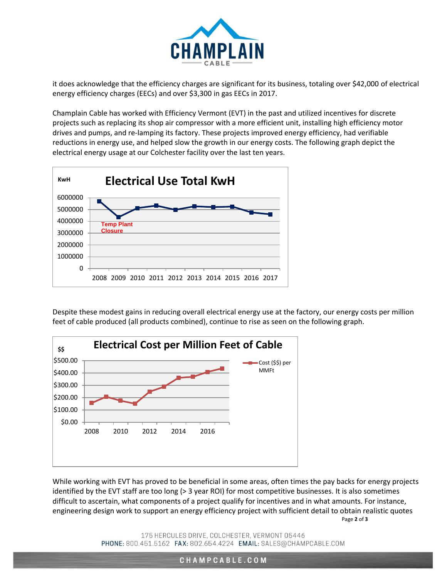

it does acknowledge that the efficiency charges are significant for its business, totaling over \$42,000 of electrical energy efficiency charges (EECs) and over \$3,300 in gas EECs in 2017.

Champlain Cable has worked with Efficiency Vermont (EVT) in the past and utilized incentives for discrete projects such as replacing its shop air compressor with a more efficient unit, installing high efficiency motor drives and pumps, and re-lamping its factory. These projects improved energy efficiency, had verifiable reductions in energy use, and helped slow the growth in our energy costs. The following graph depict the electrical energy usage at our Colchester facility over the last ten years.



Despite these modest gains in reducing overall electrical energy use at the factory, our energy costs per million feet of cable produced (all products combined), continue to rise as seen on the following graph.



Page **2** of **3** While working with EVT has proved to be beneficial in some areas, often times the pay backs for energy projects identified by the EVT staff are too long (> 3 year ROI) for most competitive businesses. It is also sometimes difficult to ascertain, what components of a project qualify for incentives and in what amounts. For instance, engineering design work to support an energy efficiency project with sufficient detail to obtain realistic quotes

> 175 HERCULES DRIVE, COLCHESTER, VERMONT 05446 PHONE: 800.451.5162 FAX: 802.654.4224 EMAIL: SALES@CHAMPCABLE.COM

> > CHAMPCABLE.COM